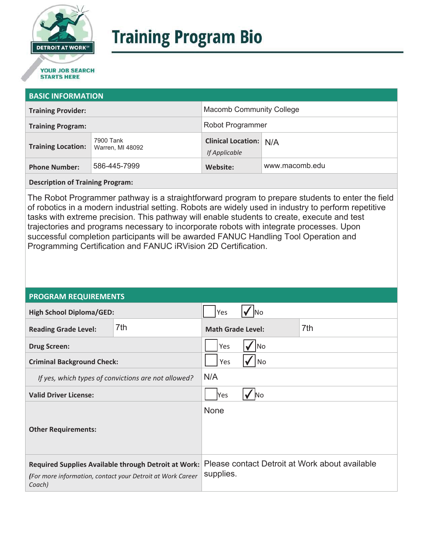

# **Training Program Bio**

## **STARTS HERE**

#### **BASIC INFORMATION**

| <b>Training Provider:</b> |                               | <b>Macomb Community College</b>                |                |
|---------------------------|-------------------------------|------------------------------------------------|----------------|
| <b>Training Program:</b>  |                               | Robot Programmer                               |                |
| <b>Training Location:</b> | 7900 Tank<br>Warren, MI 48092 | <b>Clinical Location: N/A</b><br>If Applicable |                |
| <b>Phone Number:</b>      | 586-445-7999                  | Website:                                       | www.macomb.edu |

**Description of Training Program:** 

The Robot Programmer pathway is a straightforward program to prepare students to enter the field of robotics in a modern industrial setting. Robots are widely used in industry to perform repetitive tasks with extreme precision. This pathway will enable students to create, execute and test trajectories and programs necessary to incorporate robots with integrate processes. Upon successful completion participants will be awarded FANUC Handling Tool Operation and Programming Certification and FANUC iRVision 2D Certification.

#### **PROGRAM REQUIREMENTS**

| <b>High School Diploma/GED:</b>                                                                                              |     | Yes                              |  |                                                |
|------------------------------------------------------------------------------------------------------------------------------|-----|----------------------------------|--|------------------------------------------------|
| <b>Reading Grade Level:</b>                                                                                                  | 7th | <b>Math Grade Level:</b>         |  | 7th                                            |
| <b>Drug Screen:</b>                                                                                                          |     | Yes<br> No                       |  |                                                |
| <b>Criminal Background Check:</b>                                                                                            |     | No<br>Yes                        |  |                                                |
| If yes, which types of convictions are not allowed?                                                                          |     | N/A                              |  |                                                |
| <b>Valid Driver License:</b>                                                                                                 |     | $\overline{\mathsf{No}}$<br> Yes |  |                                                |
| <b>Other Requirements:</b>                                                                                                   |     | None                             |  |                                                |
| Required Supplies Available through Detroit at Work:<br>(For more information, contact your Detroit at Work Career<br>Coach) |     | supplies.                        |  | Please contact Detroit at Work about available |